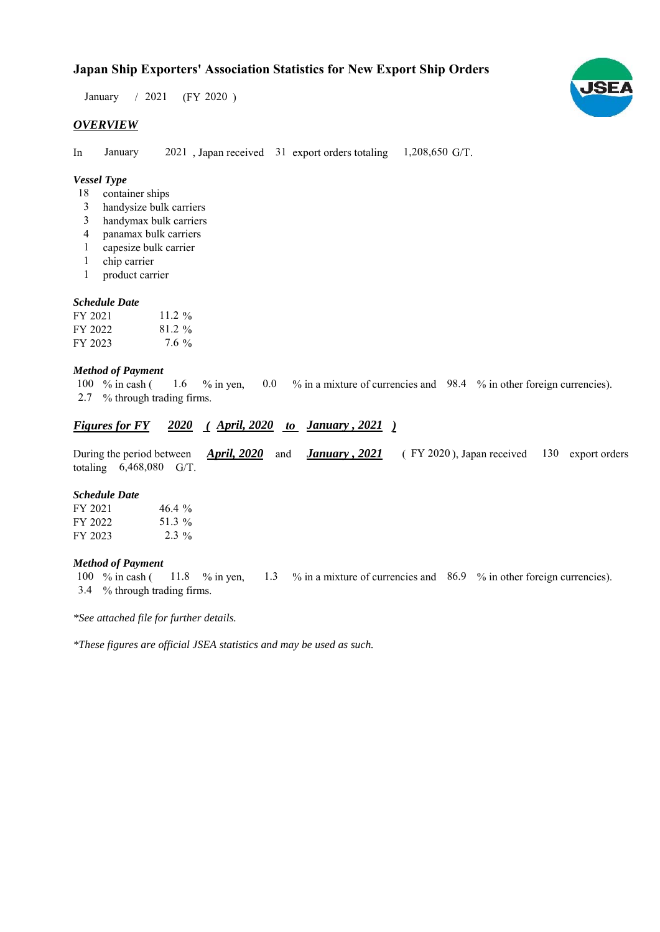## **Japan Ship Exporters' Association Statistics for New Export Ship Orders**

 $/ 2021$  (FY 2020) January  $/2021$ 

## *OVERVIEW*

In January 2021, Japan received 31 export orders totaling 1,208,650 G/T. January

## *Vessel Type*

- container ships 18
- handysize bulk carriers 3
- handymax bulk carriers 3
- panamax bulk carriers 4
- capesize bulk carrier 1
- 1 chip carrier
- product carrier 1

#### *Schedule Date*

| FY 2021 | 11.2 $\%$ |
|---------|-----------|
| FY 2022 | $81.2\%$  |
| FY 2023 | $7.6\%$   |

#### *Method of Payment*

% in cash ( $\frac{1.6}{8}$  % in yen,  $\frac{0.0}{8}$  % in a mixture of currencies and 98.4 % in other foreign currencies). % through trading firms. 2.7 100 % in cash (

## *Figures for FY* 2020 (*April, 2020 to January , 2021* )

During the period between *April, 2020* and *January, 2021* (FY 2020), Japan received 130 export orders totaling  $6,468,080$  G/T. *April, 2020 January , 2021*

#### *Schedule Date*

| FY 2021 | $46.4\%$ |
|---------|----------|
| FY 2022 | 51.3 %   |
| FY 2023 | $2.3\%$  |

#### *Method of Payment*

% in cash ( $11.8$  % in yen,  $1.3$  % in a mixture of currencies and  $86.9$  % in other foreign currencies). % through trading firms. 3.4 100  $%$  in cash (

*\*See attached file for further details.*

*\*These figures are official JSEA statistics and may be used as such.*

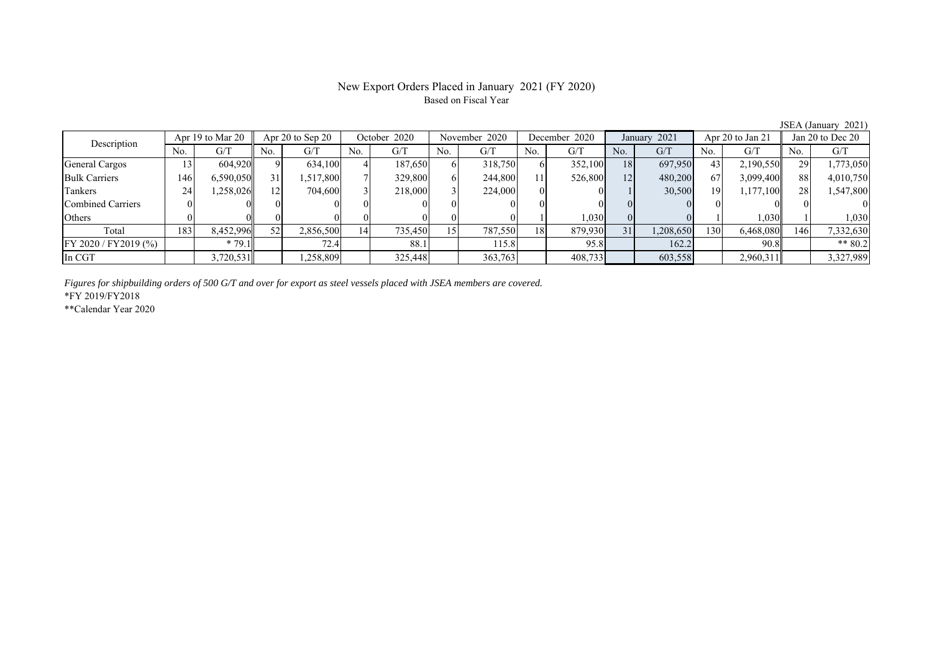## New Export Orders Placed in January 2021 (FY 2020) Based on Fiscal Year

No. G/T No. G/T No. G/T No. G/T No. G/T No. G/T No. G/T No. G/T General Cargos ( 13 604,920 9 634,100 4 187,650 6 318,750 6 352,100 18 697,950 43 2,190,550 29 1,773,050 Bulk Carriers | 146| 6,590,050|| 31| 1,517,800| 7| 329,800| 6| 244,800| 11| 526,800| 12| 480,200| 67| 3,099,400|| 88| 4,010,750 Tankers | 24| 1,258,026|| 12| 704,600| 3| 218,000| 3| 224,000| 0| 0| 1| 30,500| 19| 1,177,100|| 28| 1,547,800 Combined Carriers 0 0 0 0 0 0 0 0 0 0 0 0 0 0 0 0 Others ( 0 0 0 0 0 0 0 0 0 0 1 1,030 0 0 1 1,030 1 1,030 Total | 183 8,452,996 52 2,856,500 14 735,450 15 787,550 18 879,930 31 1,208,650 130 6,468,080 146 7,332,630 FY 2020 / FY2019 (%) \* 79.1 72.4 88.1 115.8 95.8 162.2 90.8 \*\* 80.2 In CGT | | 3,720,531|| | 1,258,809| | 325,448| | 363,763| | 408,733| | 603,558| | 2,960,311|| | 3,327,989 Apr 19 to Mar 20 Apr 20 to Sep 20 October 2020 November 2020 Description December 2020 January 2021 Apr 20 to Jan 21 Jan 20 to Dec 20

*Figures for shipbuilding orders of 500 G/T and over for export as steel vessels placed with JSEA members are covered.*

\*FY 2019/FY2018

\*\*Calendar Year 2020

JSEA (January 2021)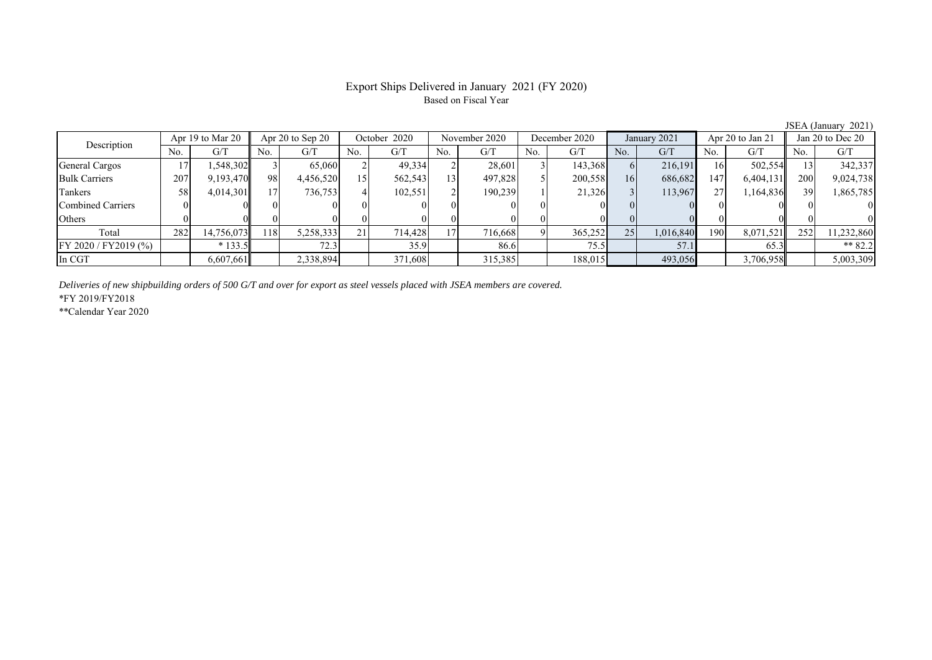## Export Ships Delivered in January 2021 (FY 2020) Based on Fiscal Year

No. G/T No. G/T No. G/T No. G/T No. G/T No. G/T No. G/T No. G/T General Cargos ( 17 1,548,302 3 65,060 2 49,334 2 28,601 3 143,368 6 216,191 16 502,554 13 342,337 Bulk Carriers 207 9,193,470 98 4,456,520 15 562,543 13 497,828 5 200,558 16 686,682 147 6,404,131 200 9,024,738 Tankers | 58| 4,014,301|| 17| 736,753| 4| 102,551| 2| 190,239| 1| 21,326| 3| 113,967| 27| 1,164,836|| 39| 1,865,785 Combined Carriers 0 0 0 0 0 0 0 0 0 0 0 0 0 0 0 0 Others 0 0 0 0 0 0 0 0 0 0 0 0 0 0 0 0 Total 282 14,756,073 118 5,258,333 21 714,428 17 716,668 9 365,252 25 1,016,840 190 8,071,521 252 11,232,860 FY 2020 / FY2019 (%) | \*133.5 | 72.3 | 35.9 | 86.6 | 75.5 | 57.1 | 65.3 | \*\* 82.2 In CGT | | 6,607,661|| | 2,338,894| | 371,608| | 315,385| | 188,015| | 493,056| | 3,706,958|| | 5,003,309 Description Apr 19 to Mar 20 Apr 20 to Sep 20 October 2020 November 2020 December 2020 January 2021 Apr 20 to Jan 21 Jan 20 to Dec 20 December 2020 January 2021 Apr 20 to Jan 21

*Deliveries of new shipbuilding orders of 500 G/T and over for export as steel vessels placed with JSEA members are covered.*

\*FY 2019/FY2018

\*\*Calendar Year 2020

JSEA (January 2021)